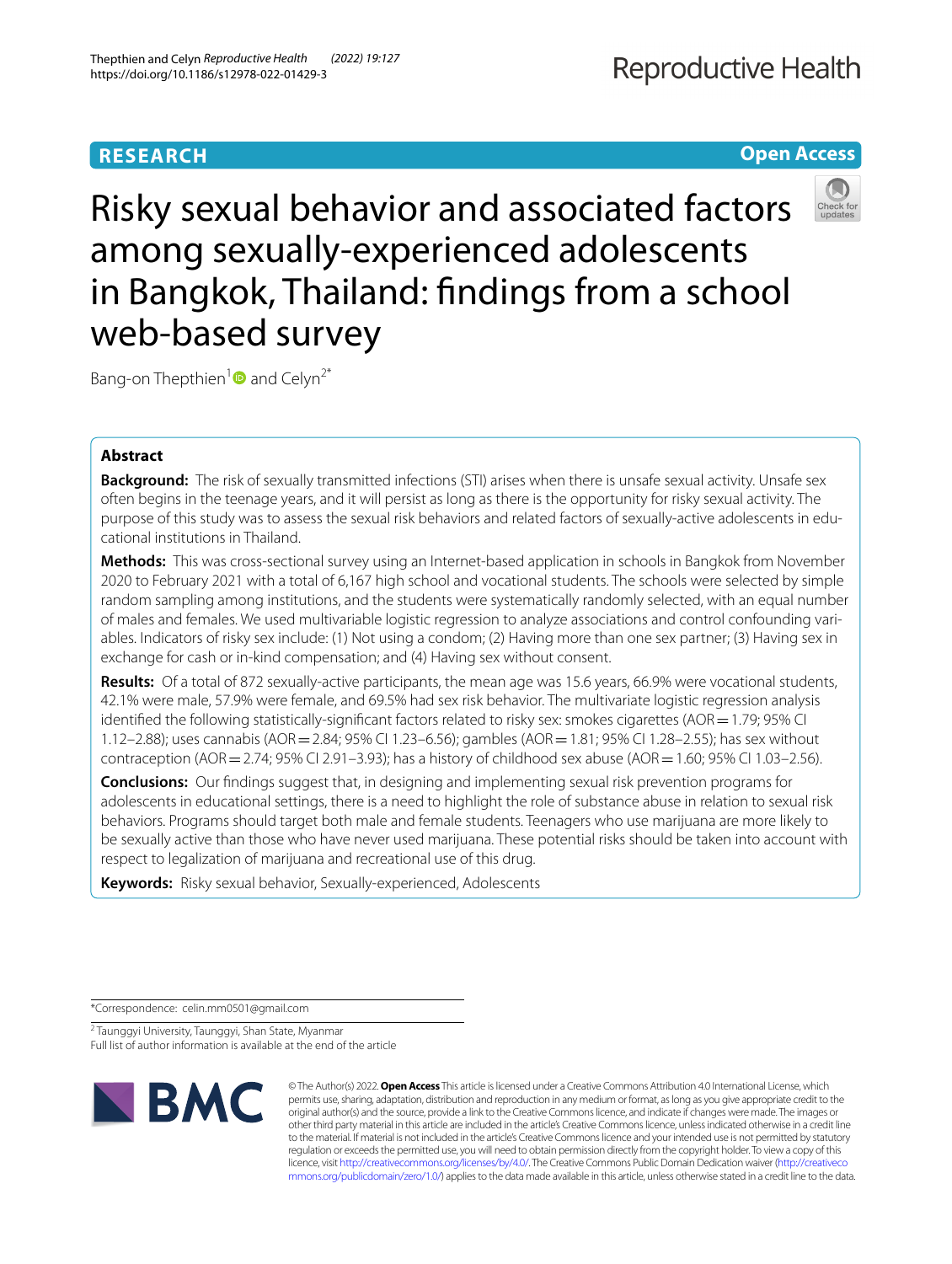# **Open Access**



Risky sexual behavior and associated factors among sexually-experienced adolescents in Bangkok, Thailand: fndings from a school web-based survey

Bang-on Thepthien<sup>1</sup> and Celyn<sup>2\*</sup>

# **Abstract**

**Background:** The risk of sexually transmitted infections (STI) arises when there is unsafe sexual activity. Unsafe sex often begins in the teenage years, and it will persist as long as there is the opportunity for risky sexual activity. The purpose of this study was to assess the sexual risk behaviors and related factors of sexually-active adolescents in educational institutions in Thailand.

**Methods:** This was cross-sectional survey using an Internet-based application in schools in Bangkok from November 2020 to February 2021 with a total of 6,167 high school and vocational students. The schools were selected by simple random sampling among institutions, and the students were systematically randomly selected, with an equal number of males and females. We used multivariable logistic regression to analyze associations and control confounding vari‑ ables. Indicators of risky sex include: (1) Not using a condom; (2) Having more than one sex partner; (3) Having sex in exchange for cash or in-kind compensation; and (4) Having sex without consent.

**Results:** Of a total of 872 sexually-active participants, the mean age was 15.6 years, 66.9% were vocational students, 42.1% were male, 57.9% were female, and 69.5% had sex risk behavior. The multivariate logistic regression analysis identified the following statistically-significant factors related to risky sex: smokes cigarettes (AOR = 1.79; 95% CI 1.12–2.88); uses cannabis (AOR=2.84; 95% CI 1.23–6.56); gambles (AOR=1.81; 95% CI 1.28–2.55); has sex without contraception (AOR = 2.74; 95% CI 2.91–3.93); has a history of childhood sex abuse (AOR = 1.60; 95% CI 1.03–2.56).

**Conclusions:** Our fndings suggest that, in designing and implementing sexual risk prevention programs for adolescents in educational settings, there is a need to highlight the role of substance abuse in relation to sexual risk behaviors. Programs should target both male and female students. Teenagers who use marijuana are more likely to be sexually active than those who have never used marijuana. These potential risks should be taken into account with respect to legalization of marijuana and recreational use of this drug.

**Keywords:** Risky sexual behavior, Sexually-experienced, Adolescents

\*Correspondence: celin.mm0501@gmail.com

<sup>2</sup> Taunggyi University, Taunggyi, Shan State, Myanmar Full list of author information is available at the end of the article



© The Author(s) 2022. **Open Access** This article is licensed under a Creative Commons Attribution 4.0 International License, which permits use, sharing, adaptation, distribution and reproduction in any medium or format, as long as you give appropriate credit to the original author(s) and the source, provide a link to the Creative Commons licence, and indicate if changes were made. The images or other third party material in this article are included in the article's Creative Commons licence, unless indicated otherwise in a credit line to the material. If material is not included in the article's Creative Commons licence and your intended use is not permitted by statutory regulation or exceeds the permitted use, you will need to obtain permission directly from the copyright holder. To view a copy of this licence, visit [http://creativecommons.org/licenses/by/4.0/.](http://creativecommons.org/licenses/by/4.0/) The Creative Commons Public Domain Dedication waiver ([http://creativeco](http://creativecommons.org/publicdomain/zero/1.0/) [mmons.org/publicdomain/zero/1.0/](http://creativecommons.org/publicdomain/zero/1.0/)) applies to the data made available in this article, unless otherwise stated in a credit line to the data.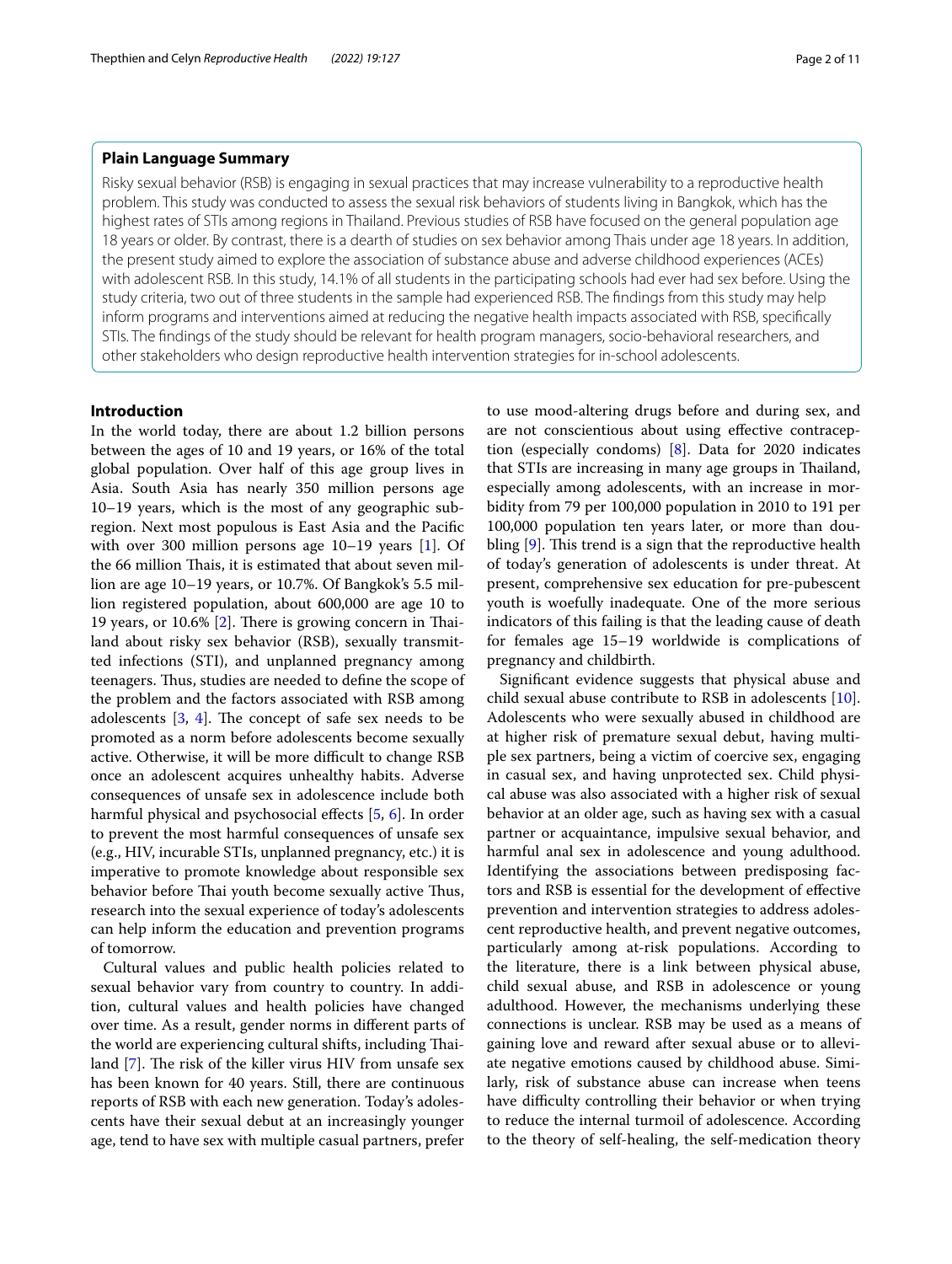# **Plain Language Summary**

Risky sexual behavior (RSB) is engaging in sexual practices that may increase vulnerability to a reproductive health problem. This study was conducted to assess the sexual risk behaviors of students living in Bangkok, which has the highest rates of STIs among regions in Thailand. Previous studies of RSB have focused on the general population age 18 years or older. By contrast, there is a dearth of studies on sex behavior among Thais under age 18 years. In addition, the present study aimed to explore the association of substance abuse and adverse childhood experiences (ACEs) with adolescent RSB. In this study, 14.1% of all students in the participating schools had ever had sex before. Using the study criteria, two out of three students in the sample had experienced RSB. The fndings from this study may help inform programs and interventions aimed at reducing the negative health impacts associated with RSB, specifcally STIs. The fndings of the study should be relevant for health program managers, socio-behavioral researchers, and other stakeholders who design reproductive health intervention strategies for in-school adolescents.

# **Introduction**

In the world today, there are about 1.2 billion persons between the ages of 10 and 19 years, or 16% of the total global population. Over half of this age group lives in Asia. South Asia has nearly 350 million persons age 10–19 years, which is the most of any geographic subregion. Next most populous is East Asia and the Pacifc with over 300 million persons age 10–19 years [\[1](#page-9-0)]. Of the 66 million Thais, it is estimated that about seven million are age 10–19 years, or 10.7%. Of Bangkok's 5.5 million registered population, about 600,000 are age 10 to 19 years, or  $10.6\%$  [\[2](#page-9-1)]. There is growing concern in Thailand about risky sex behavior (RSB), sexually transmitted infections (STI), and unplanned pregnancy among teenagers. Thus, studies are needed to define the scope of the problem and the factors associated with RSB among adolescents  $[3, 4]$  $[3, 4]$  $[3, 4]$  $[3, 4]$ . The concept of safe sex needs to be promoted as a norm before adolescents become sexually active. Otherwise, it will be more difficult to change RSB once an adolescent acquires unhealthy habits. Adverse consequences of unsafe sex in adolescence include both harmful physical and psychosocial effects [[5](#page-9-4), [6](#page-9-5)]. In order to prevent the most harmful consequences of unsafe sex (e.g., HIV, incurable STIs, unplanned pregnancy, etc.) it is imperative to promote knowledge about responsible sex behavior before Thai youth become sexually active Thus, research into the sexual experience of today's adolescents can help inform the education and prevention programs of tomorrow.

Cultural values and public health policies related to sexual behavior vary from country to country. In addition, cultural values and health policies have changed over time. As a result, gender norms in diferent parts of the world are experiencing cultural shifts, including Thailand  $[7]$  $[7]$ . The risk of the killer virus HIV from unsafe sex has been known for 40 years. Still, there are continuous reports of RSB with each new generation. Today's adolescents have their sexual debut at an increasingly younger age, tend to have sex with multiple casual partners, prefer to use mood-altering drugs before and during sex, and are not conscientious about using efective contraception (especially condoms) [[8\]](#page-9-7). Data for 2020 indicates that STIs are increasing in many age groups in Thailand, especially among adolescents, with an increase in morbidity from 79 per 100,000 population in 2010 to 191 per 100,000 population ten years later, or more than doubling  $[9]$  $[9]$ . This trend is a sign that the reproductive health of today's generation of adolescents is under threat. At present, comprehensive sex education for pre-pubescent youth is woefully inadequate. One of the more serious indicators of this failing is that the leading cause of death for females age 15–19 worldwide is complications of pregnancy and childbirth.

Signifcant evidence suggests that physical abuse and child sexual abuse contribute to RSB in adolescents [\[10](#page-9-9)]. Adolescents who were sexually abused in childhood are at higher risk of premature sexual debut, having multiple sex partners, being a victim of coercive sex, engaging in casual sex, and having unprotected sex. Child physical abuse was also associated with a higher risk of sexual behavior at an older age, such as having sex with a casual partner or acquaintance, impulsive sexual behavior, and harmful anal sex in adolescence and young adulthood. Identifying the associations between predisposing factors and RSB is essential for the development of efective prevention and intervention strategies to address adolescent reproductive health, and prevent negative outcomes, particularly among at-risk populations. According to the literature, there is a link between physical abuse, child sexual abuse, and RSB in adolescence or young adulthood. However, the mechanisms underlying these connections is unclear. RSB may be used as a means of gaining love and reward after sexual abuse or to alleviate negative emotions caused by childhood abuse. Similarly, risk of substance abuse can increase when teens have difficulty controlling their behavior or when trying to reduce the internal turmoil of adolescence. According to the theory of self-healing, the self-medication theory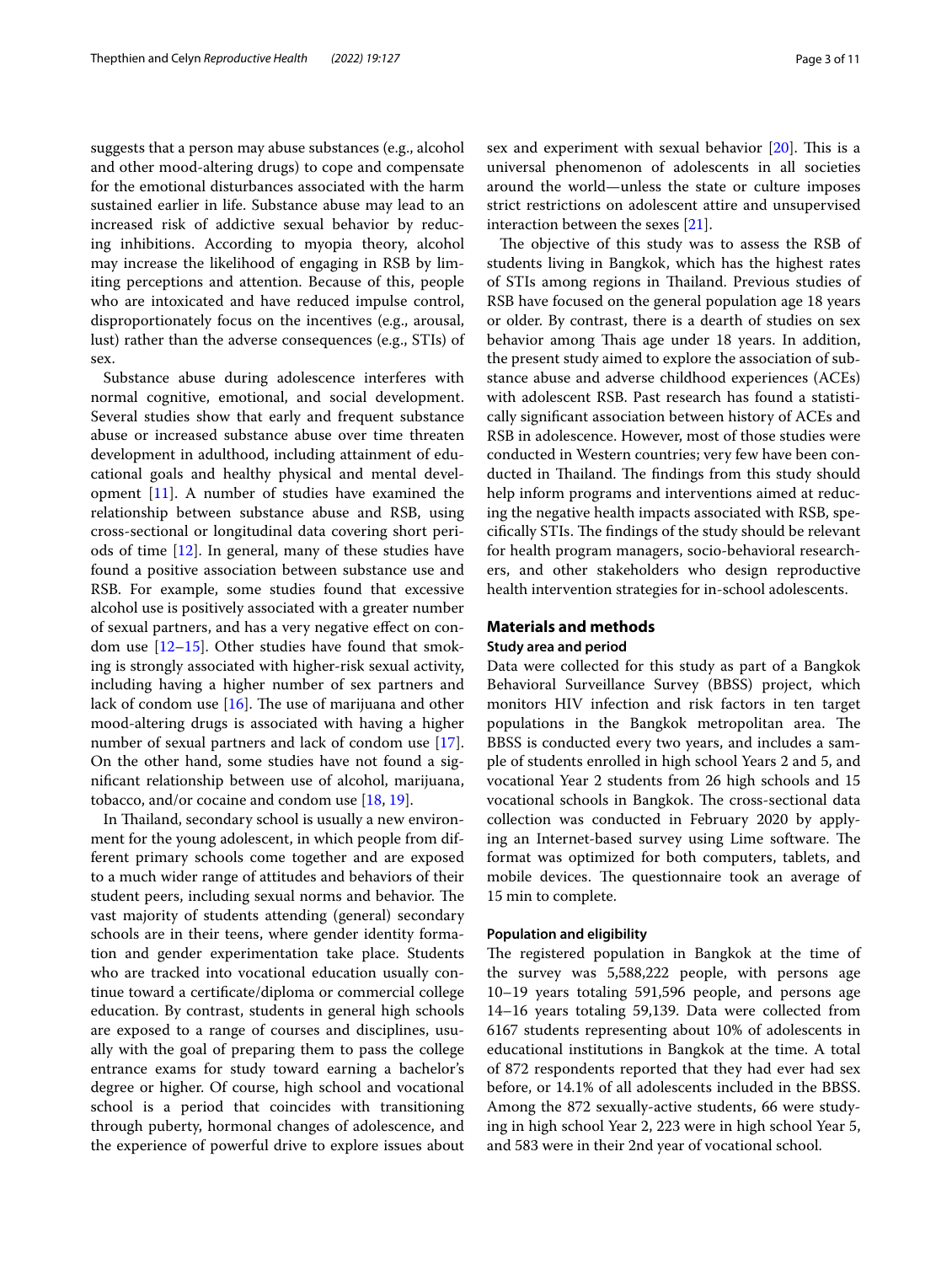suggests that a person may abuse substances (e.g., alcohol and other mood-altering drugs) to cope and compensate for the emotional disturbances associated with the harm sustained earlier in life. Substance abuse may lead to an increased risk of addictive sexual behavior by reducing inhibitions. According to myopia theory, alcohol may increase the likelihood of engaging in RSB by limiting perceptions and attention. Because of this, people who are intoxicated and have reduced impulse control, disproportionately focus on the incentives (e.g., arousal, lust) rather than the adverse consequences (e.g., STIs) of sex.

Substance abuse during adolescence interferes with normal cognitive, emotional, and social development. Several studies show that early and frequent substance abuse or increased substance abuse over time threaten development in adulthood, including attainment of educational goals and healthy physical and mental development [\[11\]](#page-9-10). A number of studies have examined the relationship between substance abuse and RSB, using cross-sectional or longitudinal data covering short periods of time [\[12](#page-9-11)]. In general, many of these studies have found a positive association between substance use and RSB. For example, some studies found that excessive alcohol use is positively associated with a greater number of sexual partners, and has a very negative efect on condom use  $[12-15]$  $[12-15]$  $[12-15]$ . Other studies have found that smoking is strongly associated with higher-risk sexual activity, including having a higher number of sex partners and lack of condom use  $[16]$  $[16]$ . The use of marijuana and other mood-altering drugs is associated with having a higher number of sexual partners and lack of condom use [\[17](#page-9-14)]. On the other hand, some studies have not found a signifcant relationship between use of alcohol, marijuana, tobacco, and/or cocaine and condom use [\[18,](#page-9-15) [19](#page-9-16)].

In Thailand, secondary school is usually a new environment for the young adolescent, in which people from different primary schools come together and are exposed to a much wider range of attitudes and behaviors of their student peers, including sexual norms and behavior. The vast majority of students attending (general) secondary schools are in their teens, where gender identity formation and gender experimentation take place. Students who are tracked into vocational education usually continue toward a certifcate/diploma or commercial college education. By contrast, students in general high schools are exposed to a range of courses and disciplines, usually with the goal of preparing them to pass the college entrance exams for study toward earning a bachelor's degree or higher. Of course, high school and vocational school is a period that coincides with transitioning through puberty, hormonal changes of adolescence, and the experience of powerful drive to explore issues about sex and experiment with sexual behavior  $[20]$  $[20]$ . This is a universal phenomenon of adolescents in all societies around the world—unless the state or culture imposes strict restrictions on adolescent attire and unsupervised interaction between the sexes [[21\]](#page-9-18).

The objective of this study was to assess the RSB of students living in Bangkok, which has the highest rates of STIs among regions in Thailand. Previous studies of RSB have focused on the general population age 18 years or older. By contrast, there is a dearth of studies on sex behavior among Thais age under 18 years. In addition, the present study aimed to explore the association of substance abuse and adverse childhood experiences (ACEs) with adolescent RSB. Past research has found a statistically signifcant association between history of ACEs and RSB in adolescence. However, most of those studies were conducted in Western countries; very few have been conducted in Thailand. The findings from this study should help inform programs and interventions aimed at reducing the negative health impacts associated with RSB, specifically STIs. The findings of the study should be relevant for health program managers, socio-behavioral researchers, and other stakeholders who design reproductive health intervention strategies for in-school adolescents.

# **Materials and methods**

# **Study area and period**

Data were collected for this study as part of a Bangkok Behavioral Surveillance Survey (BBSS) project, which monitors HIV infection and risk factors in ten target populations in the Bangkok metropolitan area. The BBSS is conducted every two years, and includes a sample of students enrolled in high school Years 2 and 5, and vocational Year 2 students from 26 high schools and 15 vocational schools in Bangkok. The cross-sectional data collection was conducted in February 2020 by applying an Internet-based survey using Lime software. The format was optimized for both computers, tablets, and mobile devices. The questionnaire took an average of 15 min to complete.

## **Population and eligibility**

The registered population in Bangkok at the time of the survey was 5,588,222 people, with persons age 10–19 years totaling 591,596 people, and persons age 14–16 years totaling 59,139. Data were collected from 6167 students representing about 10% of adolescents in educational institutions in Bangkok at the time. A total of 872 respondents reported that they had ever had sex before, or 14.1% of all adolescents included in the BBSS. Among the 872 sexually-active students, 66 were studying in high school Year 2, 223 were in high school Year 5, and 583 were in their 2nd year of vocational school.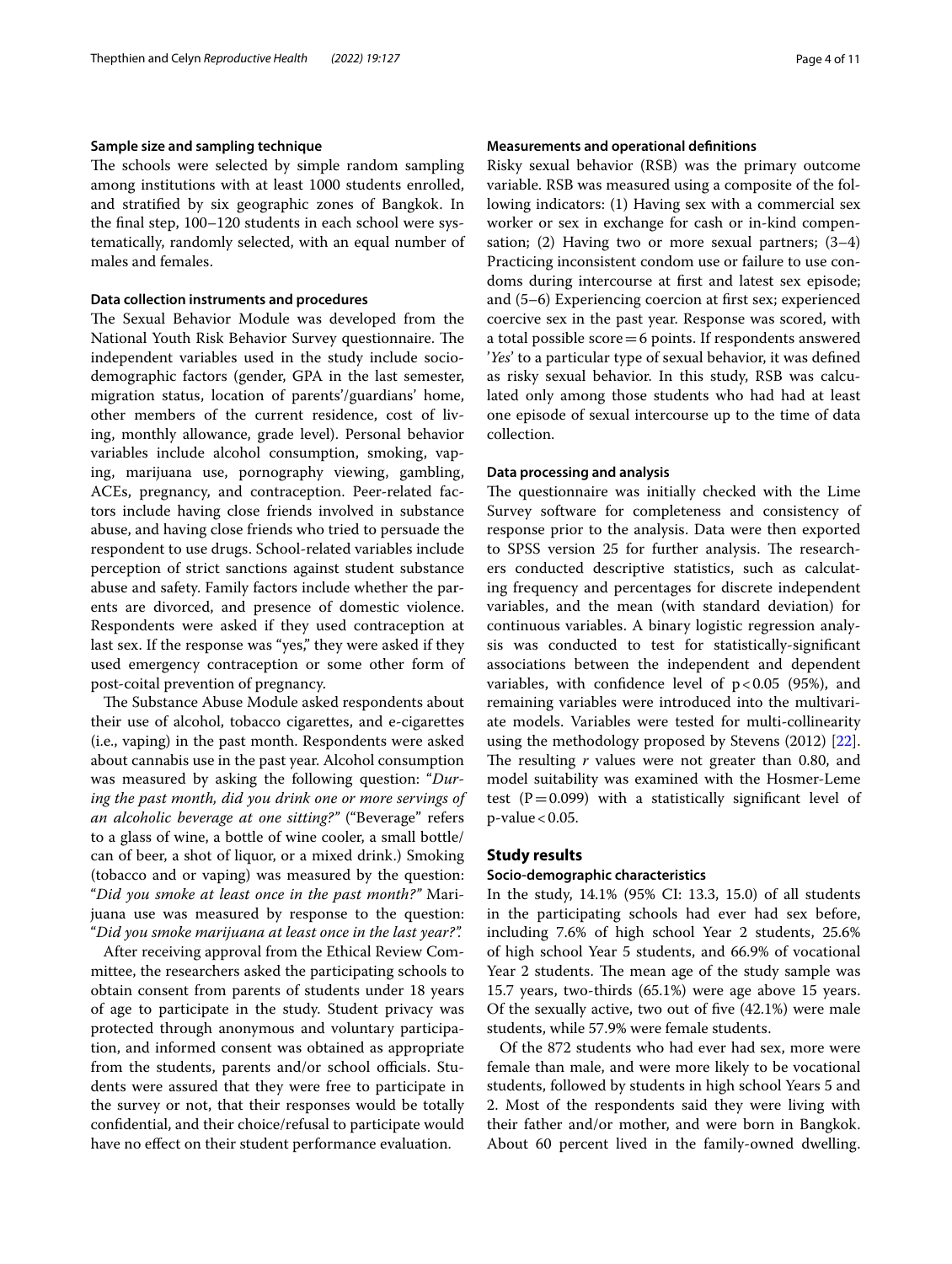# **Sample size and sampling technique**

The schools were selected by simple random sampling among institutions with at least 1000 students enrolled, and stratifed by six geographic zones of Bangkok. In the fnal step, 100–120 students in each school were systematically, randomly selected, with an equal number of males and females.

## **Data collection instruments and procedures**

The Sexual Behavior Module was developed from the National Youth Risk Behavior Survey questionnaire. The independent variables used in the study include sociodemographic factors (gender, GPA in the last semester, migration status, location of parents'/guardians' home, other members of the current residence, cost of living, monthly allowance, grade level). Personal behavior variables include alcohol consumption, smoking, vaping, marijuana use, pornography viewing, gambling, ACEs, pregnancy, and contraception. Peer-related factors include having close friends involved in substance abuse, and having close friends who tried to persuade the respondent to use drugs. School-related variables include perception of strict sanctions against student substance abuse and safety. Family factors include whether the parents are divorced, and presence of domestic violence. Respondents were asked if they used contraception at last sex. If the response was "yes," they were asked if they used emergency contraception or some other form of post-coital prevention of pregnancy.

The Substance Abuse Module asked respondents about their use of alcohol, tobacco cigarettes, and e-cigarettes (i.e., vaping) in the past month. Respondents were asked about cannabis use in the past year. Alcohol consumption was measured by asking the following question: "*During the past month, did you drink one or more servings of an alcoholic beverage at one sitting?"* ("Beverage" refers to a glass of wine, a bottle of wine cooler, a small bottle/ can of beer, a shot of liquor, or a mixed drink.) Smoking (tobacco and or vaping) was measured by the question: "*Did you smoke at least once in the past month?"* Marijuana use was measured by response to the question: "*Did you smoke marijuana at least once in the last year?".*

After receiving approval from the Ethical Review Committee, the researchers asked the participating schools to obtain consent from parents of students under 18 years of age to participate in the study. Student privacy was protected through anonymous and voluntary participation, and informed consent was obtained as appropriate from the students, parents and/or school officials. Students were assured that they were free to participate in the survey or not, that their responses would be totally confdential, and their choice/refusal to participate would have no efect on their student performance evaluation.

# **Measurements and operational defnitions**

Risky sexual behavior (RSB) was the primary outcome variable. RSB was measured using a composite of the following indicators: (1) Having sex with a commercial sex worker or sex in exchange for cash or in-kind compensation; (2) Having two or more sexual partners; (3–4) Practicing inconsistent condom use or failure to use condoms during intercourse at frst and latest sex episode; and (5–6) Experiencing coercion at frst sex; experienced coercive sex in the past year. Response was scored, with a total possible score=6 points. If respondents answered '*Yes*' to a particular type of sexual behavior, it was defned as risky sexual behavior. In this study, RSB was calculated only among those students who had had at least one episode of sexual intercourse up to the time of data collection.

### **Data processing and analysis**

The questionnaire was initially checked with the Lime Survey software for completeness and consistency of response prior to the analysis. Data were then exported to SPSS version 25 for further analysis. The researchers conducted descriptive statistics, such as calculating frequency and percentages for discrete independent variables, and the mean (with standard deviation) for continuous variables. A binary logistic regression analysis was conducted to test for statistically-signifcant associations between the independent and dependent variables, with confidence level of  $p < 0.05$  (95%), and remaining variables were introduced into the multivariate models. Variables were tested for multi-collinearity using the methodology proposed by Stevens (2012) [\[22](#page-9-19)]. The resulting *r* values were not greater than 0.80, and model suitability was examined with the Hosmer-Leme test ( $P=0.099$ ) with a statistically significant level of  $p$ -value < 0.05.

# **Study results**

## **Socio‑demographic characteristics**

In the study, 14.1% (95% CI: 13.3, 15.0) of all students in the participating schools had ever had sex before, including 7.6% of high school Year 2 students, 25.6% of high school Year 5 students, and 66.9% of vocational Year 2 students. The mean age of the study sample was 15.7 years, two-thirds (65.1%) were age above 15 years. Of the sexually active, two out of fve (42.1%) were male students, while 57.9% were female students.

Of the 872 students who had ever had sex, more were female than male, and were more likely to be vocational students, followed by students in high school Years 5 and 2. Most of the respondents said they were living with their father and/or mother, and were born in Bangkok. About 60 percent lived in the family-owned dwelling.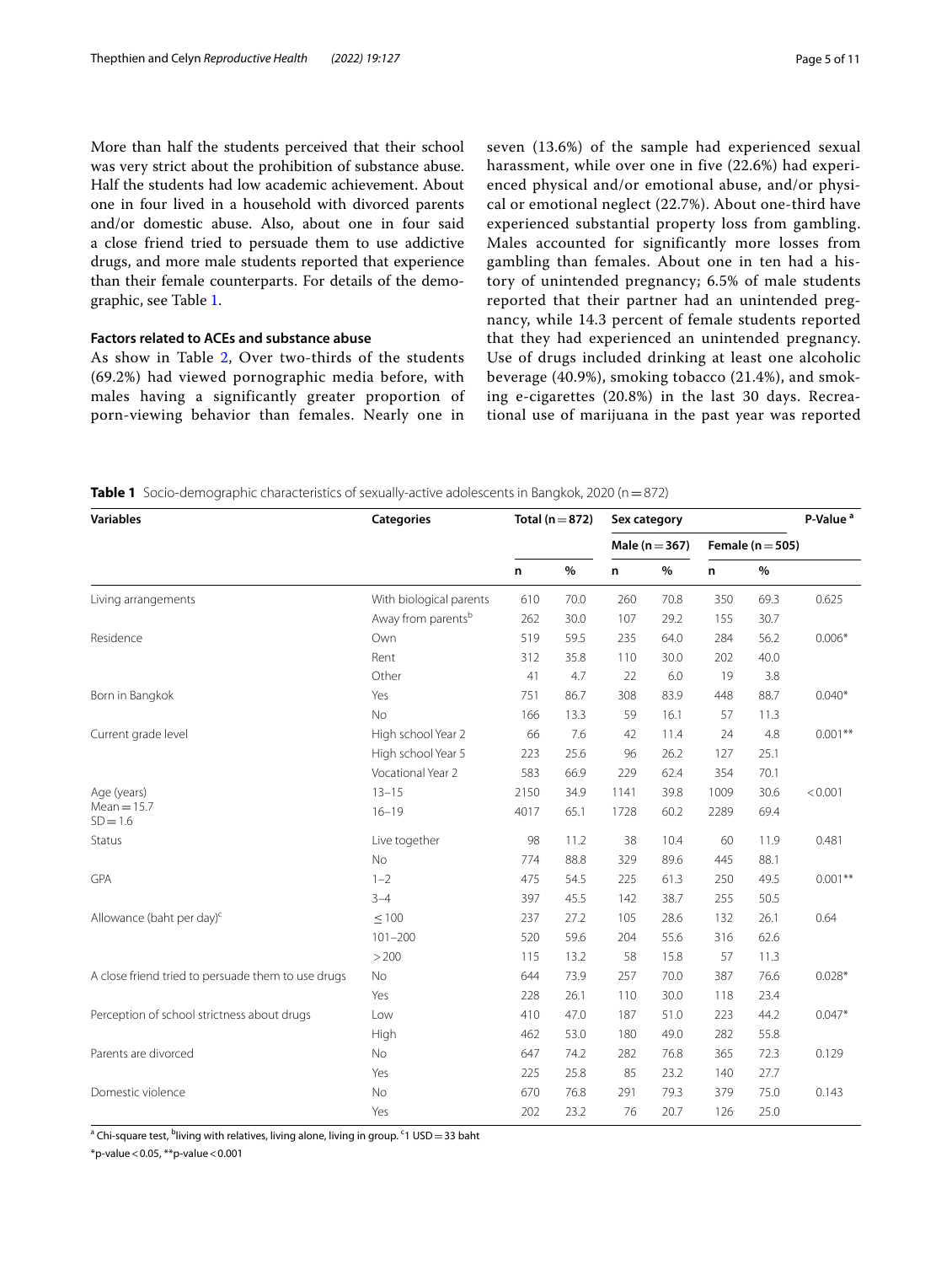More than half the students perceived that their school was very strict about the prohibition of substance abuse. Half the students had low academic achievement. About one in four lived in a household with divorced parents and/or domestic abuse. Also, about one in four said a close friend tried to persuade them to use addictive drugs, and more male students reported that experience than their female counterparts. For details of the demographic, see Table [1.](#page-4-0)

# **Factors related to ACEs and substance abuse**

As show in Table [2](#page-5-0), Over two-thirds of the students (69.2%) had viewed pornographic media before, with males having a significantly greater proportion of porn-viewing behavior than females. Nearly one in

seven (13.6%) of the sample had experienced sexual harassment, while over one in five (22.6%) had experienced physical and/or emotional abuse, and/or physical or emotional neglect (22.7%). About one-third have experienced substantial property loss from gambling. Males accounted for significantly more losses from gambling than females. About one in ten had a history of unintended pregnancy; 6.5% of male students reported that their partner had an unintended pregnancy, while 14.3 percent of female students reported that they had experienced an unintended pregnancy. Use of drugs included drinking at least one alcoholic beverage (40.9%), smoking tobacco (21.4%), and smoking e-cigarettes (20.8%) in the last 30 days. Recreational use of marijuana in the past year was reported

<span id="page-4-0"></span>**Table 1** Socio-demographic characteristics of sexually-active adolescents in Bangkok, 2020 (n = 872)

| <b>Variables</b>                                   | <b>Categories</b>       | Total ( $n = 872$ ) |      | Sex category       |      |                      |      | P-Value <sup>a</sup> |  |
|----------------------------------------------------|-------------------------|---------------------|------|--------------------|------|----------------------|------|----------------------|--|
|                                                    |                         |                     |      | Male ( $n = 367$ ) |      | Female ( $n = 505$ ) |      |                      |  |
|                                                    |                         | $\%$<br>n           |      | n                  | $\%$ | $\%$<br>n            |      |                      |  |
| Living arrangements                                | With biological parents | 610                 | 70.0 | 260                | 70.8 | 350                  | 69.3 | 0.625                |  |
|                                                    | Away from parentsb      | 262                 | 30.0 | 107                | 29.2 | 155                  | 30.7 |                      |  |
| Residence                                          | Own                     | 519                 | 59.5 | 235                | 64.0 | 284                  | 56.2 | $0.006*$             |  |
|                                                    | Rent                    | 312                 | 35.8 | 110                | 30.0 | 202                  | 40.0 |                      |  |
|                                                    | Other                   | 41                  | 4.7  | 22                 | 6.0  | 19                   | 3.8  |                      |  |
| Born in Bangkok                                    | Yes                     | 751                 | 86.7 | 308                | 83.9 | 448                  | 88.7 | $0.040*$             |  |
|                                                    | <b>No</b>               | 166                 | 13.3 | 59                 | 16.1 | 57                   | 11.3 |                      |  |
| Current grade level                                | High school Year 2      | 66                  | 7.6  | 42                 | 11.4 | 24                   | 4.8  | $0.001***$           |  |
|                                                    | High school Year 5      | 223                 | 25.6 | 96                 | 26.2 | 127                  | 25.1 |                      |  |
|                                                    | Vocational Year 2       | 583                 | 66.9 | 229                | 62.4 | 354                  | 70.1 |                      |  |
| Age (years)                                        | $13 - 15$               | 2150                | 34.9 | 1141               | 39.8 | 1009                 | 30.6 | < 0.001              |  |
| $Mean = 15.7$<br>$SD = 1.6$                        | $16 - 19$               | 4017                | 65.1 | 1728               | 60.2 | 2289                 | 69.4 |                      |  |
| Status                                             | Live together           | 98                  | 11.2 | 38                 | 10.4 | 60                   | 11.9 | 0.481                |  |
|                                                    | No                      | 774                 | 88.8 | 329                | 89.6 | 445                  | 88.1 |                      |  |
| GPA                                                | $1 - 2$                 | 475                 | 54.5 | 225                | 61.3 | 250                  | 49.5 | $0.001***$           |  |
|                                                    | $3 - 4$                 | 397                 | 45.5 | 142                | 38.7 | 255                  | 50.5 |                      |  |
| Allowance (baht per day) <sup>c</sup>              | $\leq 100$              | 237                 | 27.2 | 105                | 28.6 | 132                  | 26.1 | 0.64                 |  |
|                                                    | $101 - 200$             | 520                 | 59.6 | 204                | 55.6 | 316                  | 62.6 |                      |  |
|                                                    | >200                    | 115                 | 13.2 | 58                 | 15.8 | 57                   | 11.3 |                      |  |
| A close friend tried to persuade them to use drugs | No                      | 644                 | 73.9 | 257                | 70.0 | 387                  | 76.6 | $0.028*$             |  |
|                                                    | Yes                     | 228                 | 26.1 | 110                | 30.0 | 118                  | 23.4 |                      |  |
| Perception of school strictness about drugs        | Low                     | 410                 | 47.0 | 187                | 51.0 | 223                  | 44.2 | $0.047*$             |  |
|                                                    | High                    | 462                 | 53.0 | 180                | 49.0 | 282                  | 55.8 |                      |  |
| Parents are divorced                               | No                      | 647                 | 74.2 | 282                | 76.8 | 365                  | 72.3 | 0.129                |  |
|                                                    | Yes                     | 225                 | 25.8 | 85                 | 23.2 | 140                  | 27.7 |                      |  |
| Domestic violence                                  | No                      | 670                 | 76.8 | 291                | 79.3 | 379                  | 75.0 | 0.143                |  |
|                                                    | Yes                     | 202                 | 23.2 | 76                 | 20.7 | 126                  | 25.0 |                      |  |

<sup>a</sup> Chi-square test, <sup>b</sup>living with relatives, living alone, living in group. <sup>c</sup>1 USD = 33 baht

 $*$ p-value < 0.05,  $*$  $*$ p-value < 0.001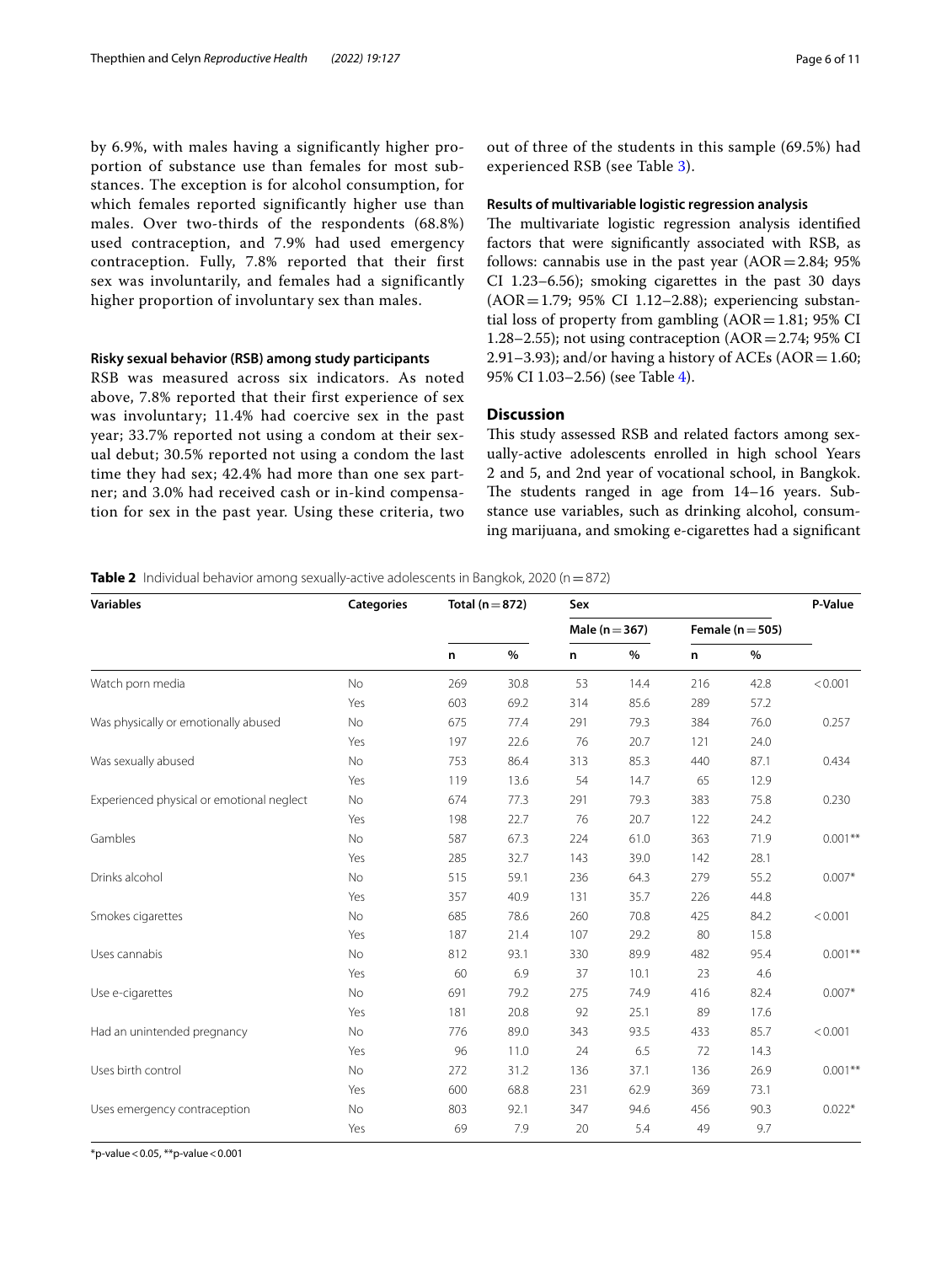by 6.9%, with males having a significantly higher proportion of substance use than females for most substances. The exception is for alcohol consumption, for which females reported significantly higher use than males. Over two-thirds of the respondents (68.8%) used contraception, and 7.9% had used emergency contraception. Fully, 7.8% reported that their first sex was involuntarily, and females had a significantly higher proportion of involuntary sex than males.

### **Risky sexual behavior (RSB) among study participants**

RSB was measured across six indicators. As noted above, 7.8% reported that their first experience of sex was involuntary; 11.4% had coercive sex in the past year; 33.7% reported not using a condom at their sexual debut; 30.5% reported not using a condom the last time they had sex; 42.4% had more than one sex partner; and 3.0% had received cash or in-kind compensation for sex in the past year. Using these criteria, two out of three of the students in this sample (69.5%) had experienced RSB (see Table [3](#page-6-0)).

### **Results of multivariable logistic regression analysis**

The multivariate logistic regression analysis identified factors that were signifcantly associated with RSB, as follows: cannabis use in the past year  $(AOR = 2.84; 95\%)$ CI 1.23–6.56); smoking cigarettes in the past 30 days (AOR=1.79; 95% CI 1.12–2.88); experiencing substantial loss of property from gambling  $(AOR=1.81; 95%$  CI 1.28–2.55); not using contraception  $(AOR = 2.74; 95\% \text{ CI})$ 2.91–3.93); and/or having a history of ACEs (AOR = 1.60; 95% CI 1.03–2.56) (see Table [4](#page-6-1)).

# **Discussion**

This study assessed RSB and related factors among sexually-active adolescents enrolled in high school Years 2 and 5, and 2nd year of vocational school, in Bangkok. The students ranged in age from  $14-16$  years. Substance use variables, such as drinking alcohol, consuming marijuana, and smoking e-cigarettes had a signifcant

<span id="page-5-0"></span>**Table 2** Individual behavior among sexually-active adolescents in Bangkok, 2020 (n=872)

| <b>Variables</b>                          | <b>Categories</b> | Total ( $n = 872$ ) |      | Sex                | P-Value |                      |      |            |
|-------------------------------------------|-------------------|---------------------|------|--------------------|---------|----------------------|------|------------|
|                                           |                   |                     |      | Male ( $n = 367$ ) |         | Female ( $n = 505$ ) |      |            |
|                                           |                   | n                   | %    | n.                 | $\%$    | n                    | $\%$ |            |
| Watch porn media                          | <b>No</b>         | 269                 | 30.8 | 53                 | 14.4    | 216                  | 42.8 | < 0.001    |
|                                           | Yes               | 603                 | 69.2 | 314                | 85.6    | 289                  | 57.2 |            |
| Was physically or emotionally abused      | No                | 675                 | 77.4 | 291                | 79.3    | 384                  | 76.0 | 0.257      |
|                                           | Yes               | 197                 | 22.6 | 76                 | 20.7    | 121                  | 24.0 |            |
| Was sexually abused                       | No                | 753                 | 86.4 | 313                | 85.3    | 440                  | 87.1 | 0.434      |
|                                           | Yes               | 119                 | 13.6 | 54                 | 14.7    | 65                   | 12.9 |            |
| Experienced physical or emotional neglect | No                | 674                 | 77.3 | 291                | 79.3    | 383                  | 75.8 | 0.230      |
|                                           | Yes               | 198                 | 22.7 | 76                 | 20.7    | 122                  | 24.2 |            |
| Gambles                                   | No                | 587                 | 67.3 | 224                | 61.0    | 363                  | 71.9 | $0.001***$ |
|                                           | Yes               | 285                 | 32.7 | 143                | 39.0    | 142                  | 28.1 |            |
| Drinks alcohol                            | No                | 515                 | 59.1 | 236                | 64.3    | 279                  | 55.2 | $0.007*$   |
|                                           | Yes               | 357                 | 40.9 | 131                | 35.7    | 226                  | 44.8 |            |
| Smokes cigarettes                         | No                | 685                 | 78.6 | 260                | 70.8    | 425                  | 84.2 | < 0.001    |
|                                           | Yes               | 187                 | 21.4 | 107                | 29.2    | 80                   | 15.8 |            |
| Uses cannabis                             | <b>No</b>         | 812                 | 93.1 | 330                | 89.9    | 482                  | 95.4 | $0.001**$  |
|                                           | Yes               | 60                  | 6.9  | 37                 | 10.1    | 23                   | 4.6  |            |
| Use e-cigarettes                          | No                | 691                 | 79.2 | 275                | 74.9    | 416                  | 82.4 | $0.007*$   |
|                                           | Yes               | 181                 | 20.8 | 92                 | 25.1    | 89                   | 17.6 |            |
| Had an unintended pregnancy               | No                | 776                 | 89.0 | 343                | 93.5    | 433                  | 85.7 | < 0.001    |
|                                           | Yes               | 96                  | 11.0 | 24                 | 6.5     | 72                   | 14.3 |            |
| Uses birth control                        | No                | 272                 | 31.2 | 136                | 37.1    | 136                  | 26.9 | $0.001**$  |
|                                           | Yes               | 600                 | 68.8 | 231                | 62.9    | 369                  | 73.1 |            |
| Uses emergency contraception              | No                | 803                 | 92.1 | 347                | 94.6    | 456                  | 90.3 | $0.022*$   |
|                                           | Yes               | 69                  | 7.9  | 20                 | 5.4     | 49                   | 9.7  |            |

 $*$ p-value < 0.05,  $*$  $*$ p-value < 0.001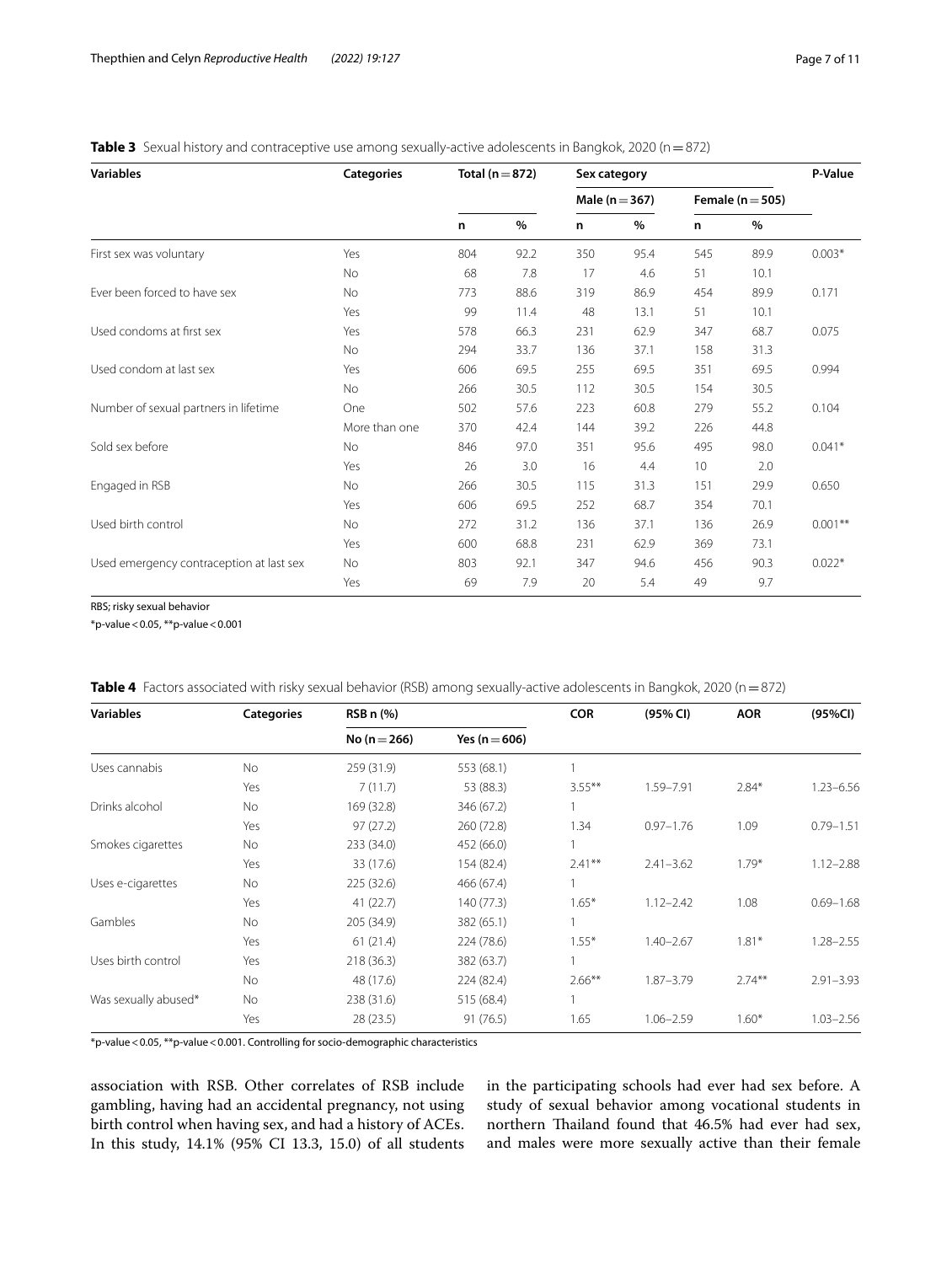<span id="page-6-0"></span>

| Table 3 Sexual history and contraceptive use among sexually-active adolescents in Bangkok, 2020 (n = 872) |  |
|-----------------------------------------------------------------------------------------------------------|--|
|-----------------------------------------------------------------------------------------------------------|--|

| <b>Variables</b>                         | <b>Categories</b> | Total ( $n = 872$ ) |      | Sex category       |      |                      |      | P-Value    |
|------------------------------------------|-------------------|---------------------|------|--------------------|------|----------------------|------|------------|
|                                          |                   |                     |      | Male ( $n = 367$ ) |      | Female ( $n = 505$ ) |      |            |
|                                          |                   | n                   | %    | n                  | $\%$ | n                    | $\%$ |            |
| First sex was voluntary                  | Yes               | 804                 | 92.2 | 350                | 95.4 | 545                  | 89.9 | $0.003*$   |
|                                          | <b>No</b>         | 68                  | 7.8  | 17                 | 4.6  | 51                   | 10.1 |            |
| Ever been forced to have sex             | <b>No</b>         | 773                 | 88.6 | 319                | 86.9 | 454                  | 89.9 | 0.171      |
|                                          | Yes               | 99                  | 11.4 | 48                 | 13.1 | 51                   | 10.1 |            |
| Used condoms at first sex                | Yes               | 578                 | 66.3 | 231                | 62.9 | 347                  | 68.7 | 0.075      |
|                                          | <b>No</b>         | 294                 | 33.7 | 136                | 37.1 | 158                  | 31.3 |            |
| Used condom at last sex                  | Yes               | 606                 | 69.5 | 255                | 69.5 | 351                  | 69.5 | 0.994      |
|                                          | <b>No</b>         | 266                 | 30.5 | 112                | 30.5 | 154                  | 30.5 |            |
| Number of sexual partners in lifetime    | One               | 502                 | 57.6 | 223                | 60.8 | 279                  | 55.2 | 0.104      |
|                                          | More than one     | 370                 | 42.4 | 144                | 39.2 | 226                  | 44.8 |            |
| Sold sex before                          | <b>No</b>         | 846                 | 97.0 | 351                | 95.6 | 495                  | 98.0 | $0.041*$   |
|                                          | Yes               | 26                  | 3.0  | 16                 | 4.4  | 10                   | 2.0  |            |
| Engaged in RSB                           | <b>No</b>         | 266                 | 30.5 | 115                | 31.3 | 151                  | 29.9 | 0.650      |
|                                          | Yes               | 606                 | 69.5 | 252                | 68.7 | 354                  | 70.1 |            |
| Used birth control                       | <b>No</b>         | 272                 | 31.2 | 136                | 37.1 | 136                  | 26.9 | $0.001***$ |
|                                          | Yes               | 600                 | 68.8 | 231                | 62.9 | 369                  | 73.1 |            |
| Used emergency contraception at last sex | No                | 803                 | 92.1 | 347                | 94.6 | 456                  | 90.3 | $0.022*$   |
|                                          | Yes               | 69                  | 7.9  | 20                 | 5.4  | 49                   | 9.7  |            |

RBS; risky sexual behavior

\*p-value<0.05, \*\*p-value<0.001

<span id="page-6-1"></span>

| Table 4 Factors associated with risky sexual behavior (RSB) among sexually-active adolescents in Bangkok, 2020 (n = 872) |  |
|--------------------------------------------------------------------------------------------------------------------------|--|
|--------------------------------------------------------------------------------------------------------------------------|--|

| <b>Variables</b>     | <b>Categories</b> | RSB n (%)        |                   | <b>COR</b> | (95% CI)      | <b>AOR</b> | (95%CI)       |
|----------------------|-------------------|------------------|-------------------|------------|---------------|------------|---------------|
|                      |                   | No ( $n = 266$ ) | Yes ( $n = 606$ ) |            |               |            |               |
| Uses cannabis        | <b>No</b>         | 259(31.9)        | 553 (68.1)        |            |               |            |               |
|                      | Yes               | 7(11.7)          | 53 (88.3)         | $3.55***$  | 1.59-7.91     | $2.84*$    | $1.23 - 6.56$ |
| Drinks alcohol       | No                | 169 (32.8)       | 346 (67.2)        |            |               |            |               |
|                      | Yes               | 97(27.2)         | 260 (72.8)        | 1.34       | $0.97 - 1.76$ | 1.09       | $0.79 - 1.51$ |
| Smokes cigarettes    | No                | 233 (34.0)       | 452 (66.0)        |            |               |            |               |
|                      | Yes               | 33 (17.6)        | 154 (82.4)        | $2.41***$  | $2.41 - 3.62$ | $1.79*$    | $1.12 - 2.88$ |
| Uses e-cigarettes    | No                | 225(32.6)        | 466 (67.4)        |            |               |            |               |
|                      | Yes               | 41(22.7)         | 140 (77.3)        | $1.65*$    | $1.12 - 2.42$ | 1.08       | $0.69 - 1.68$ |
| Gambles              | No                | 205 (34.9)       | 382 (65.1)        |            |               |            |               |
|                      | Yes               | 61(21.4)         | 224 (78.6)        | $1.55*$    | $1.40 - 2.67$ | $1.81*$    | $1.28 - 2.55$ |
| Uses birth control   | Yes               | 218(36.3)        | 382 (63.7)        |            |               |            |               |
|                      | No                | 48 (17.6)        | 224 (82.4)        | $2.66***$  | $1.87 - 3.79$ | $2.74***$  | $2.91 - 3.93$ |
| Was sexually abused* | No                | 238 (31.6)       | 515 (68.4)        |            |               |            |               |
|                      | Yes               | 28(23.5)         | 91(76.5)          | 1.65       | $1.06 - 2.59$ | $1.60*$    | $1.03 - 2.56$ |

\*p-value<0.05, \*\*p-value<0.001. Controlling for socio-demographic characteristics

association with RSB. Other correlates of RSB include gambling, having had an accidental pregnancy, not using birth control when having sex, and had a history of ACEs. In this study, 14.1% (95% CI 13.3, 15.0) of all students in the participating schools had ever had sex before. A study of sexual behavior among vocational students in northern Thailand found that 46.5% had ever had sex, and males were more sexually active than their female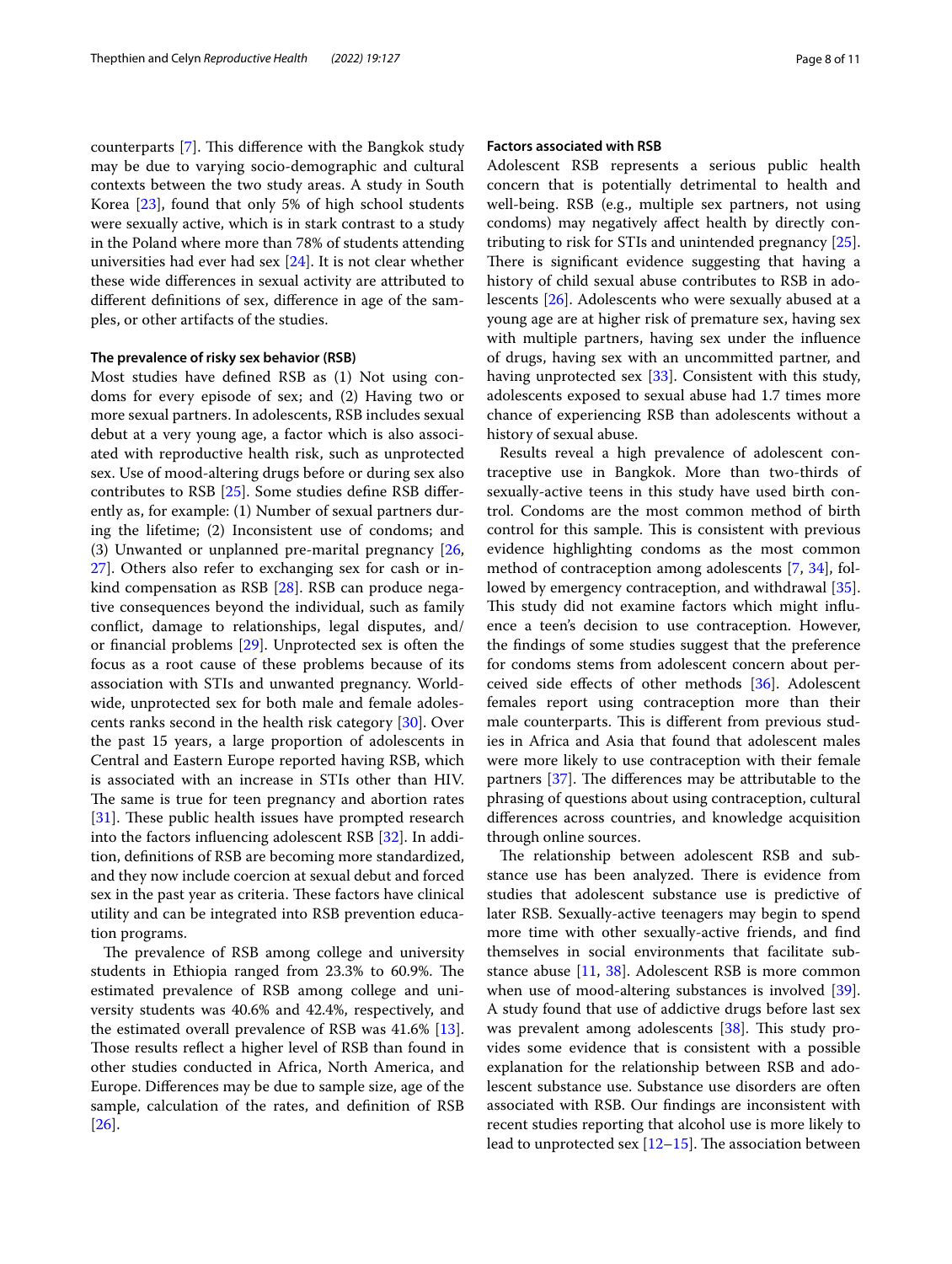counterparts  $[7]$  $[7]$ . This difference with the Bangkok study may be due to varying socio-demographic and cultural contexts between the two study areas. A study in South Korea [\[23\]](#page-9-20), found that only 5% of high school students were sexually active, which is in stark contrast to a study in the Poland where more than 78% of students attending universities had ever had sex [\[24](#page-10-0)]. It is not clear whether these wide diferences in sexual activity are attributed to diferent defnitions of sex, diference in age of the samples, or other artifacts of the studies.

### **The prevalence of risky sex behavior (RSB)**

Most studies have defned RSB as (1) Not using condoms for every episode of sex; and (2) Having two or more sexual partners. In adolescents, RSB includes sexual debut at a very young age, a factor which is also associated with reproductive health risk, such as unprotected sex. Use of mood-altering drugs before or during sex also contributes to RSB [\[25\]](#page-10-1). Some studies defne RSB diferently as, for example: (1) Number of sexual partners during the lifetime; (2) Inconsistent use of condoms; and (3) Unwanted or unplanned pre-marital pregnancy [\[26](#page-10-2), [27\]](#page-10-3). Others also refer to exchanging sex for cash or inkind compensation as RSB [\[28](#page-10-4)]. RSB can produce negative consequences beyond the individual, such as family confict, damage to relationships, legal disputes, and/ or fnancial problems [\[29](#page-10-5)]. Unprotected sex is often the focus as a root cause of these problems because of its association with STIs and unwanted pregnancy. Worldwide, unprotected sex for both male and female adolescents ranks second in the health risk category [[30\]](#page-10-6). Over the past 15 years, a large proportion of adolescents in Central and Eastern Europe reported having RSB, which is associated with an increase in STIs other than HIV. The same is true for teen pregnancy and abortion rates [[31\]](#page-10-7). These public health issues have prompted research into the factors infuencing adolescent RSB [[32\]](#page-10-8). In addition, defnitions of RSB are becoming more standardized, and they now include coercion at sexual debut and forced sex in the past year as criteria. These factors have clinical utility and can be integrated into RSB prevention education programs.

The prevalence of RSB among college and university students in Ethiopia ranged from 23.3% to 60.9%. The estimated prevalence of RSB among college and university students was 40.6% and 42.4%, respectively, and the estimated overall prevalence of RSB was 41.6% [\[13](#page-9-21)]. Those results reflect a higher level of RSB than found in other studies conducted in Africa, North America, and Europe. Diferences may be due to sample size, age of the sample, calculation of the rates, and defnition of RSB [[26\]](#page-10-2).

# **Factors associated with RSB**

Adolescent RSB represents a serious public health concern that is potentially detrimental to health and well-being. RSB (e.g., multiple sex partners, not using condoms) may negatively afect health by directly contributing to risk for STIs and unintended pregnancy [\[25](#page-10-1)]. There is significant evidence suggesting that having a history of child sexual abuse contributes to RSB in adolescents [\[26\]](#page-10-2). Adolescents who were sexually abused at a young age are at higher risk of premature sex, having sex with multiple partners, having sex under the infuence of drugs, having sex with an uncommitted partner, and having unprotected sex [[33](#page-10-9)]. Consistent with this study, adolescents exposed to sexual abuse had 1.7 times more chance of experiencing RSB than adolescents without a history of sexual abuse.

Results reveal a high prevalence of adolescent contraceptive use in Bangkok. More than two-thirds of sexually-active teens in this study have used birth control. Condoms are the most common method of birth control for this sample. This is consistent with previous evidence highlighting condoms as the most common method of contraception among adolescents [[7,](#page-9-6) [34\]](#page-10-10), fol-lowed by emergency contraception, and withdrawal [\[35](#page-10-11)]. This study did not examine factors which might influence a teen's decision to use contraception. However, the fndings of some studies suggest that the preference for condoms stems from adolescent concern about perceived side efects of other methods [[36](#page-10-12)]. Adolescent females report using contraception more than their male counterparts. This is different from previous studies in Africa and Asia that found that adolescent males were more likely to use contraception with their female partners  $[37]$  $[37]$ . The differences may be attributable to the phrasing of questions about using contraception, cultural diferences across countries, and knowledge acquisition through online sources.

The relationship between adolescent RSB and substance use has been analyzed. There is evidence from studies that adolescent substance use is predictive of later RSB. Sexually-active teenagers may begin to spend more time with other sexually-active friends, and fnd themselves in social environments that facilitate substance abuse [[11,](#page-9-10) [38\]](#page-10-14). Adolescent RSB is more common when use of mood-altering substances is involved [\[39](#page-10-15)]. A study found that use of addictive drugs before last sex was prevalent among adolescents  $[38]$  $[38]$  $[38]$ . This study provides some evidence that is consistent with a possible explanation for the relationship between RSB and adolescent substance use. Substance use disorders are often associated with RSB. Our fndings are inconsistent with recent studies reporting that alcohol use is more likely to lead to unprotected sex  $[12–15]$  $[12–15]$ . The association between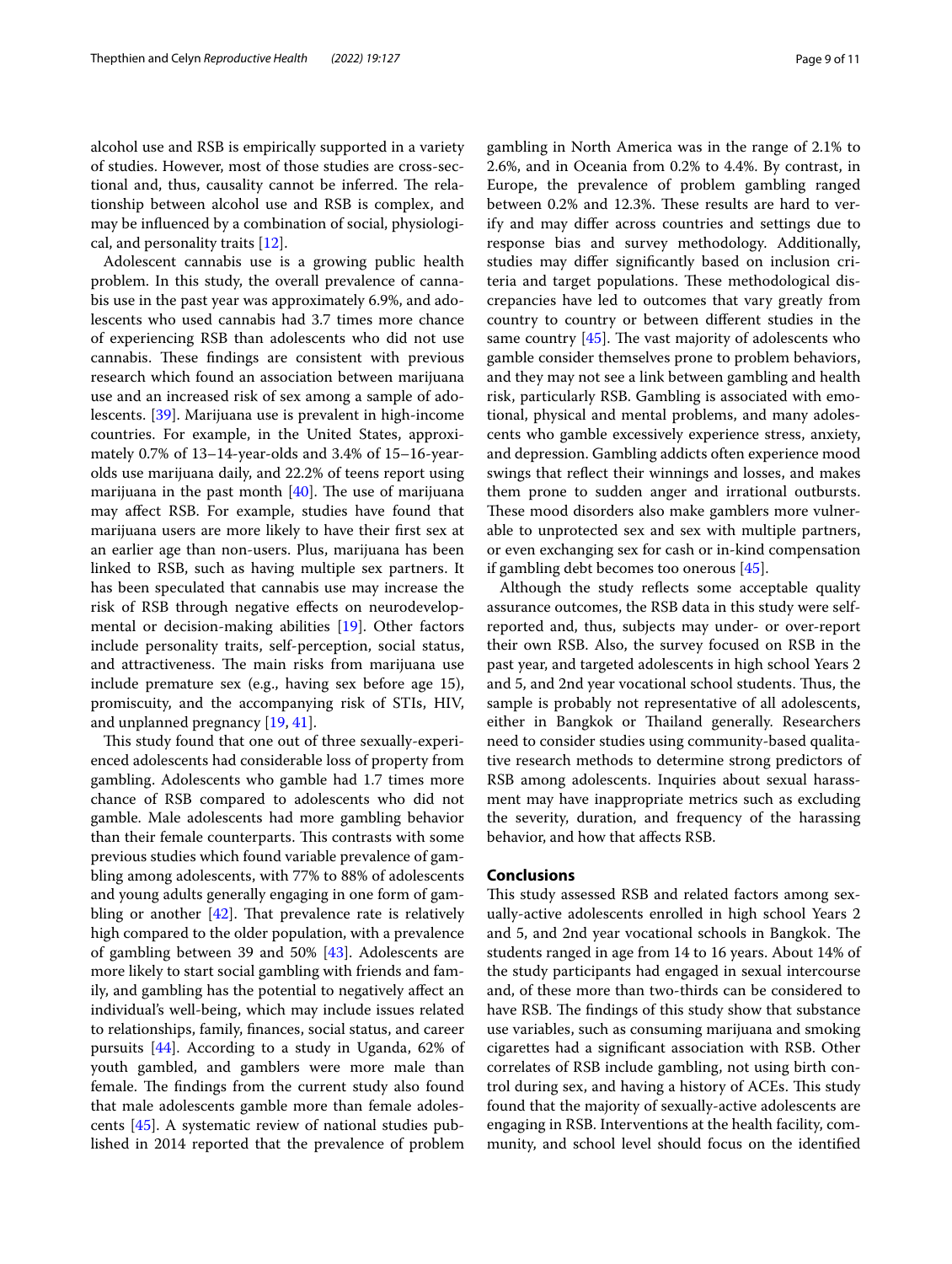alcohol use and RSB is empirically supported in a variety of studies. However, most of those studies are cross-sectional and, thus, causality cannot be inferred. The relationship between alcohol use and RSB is complex, and may be infuenced by a combination of social, physiological, and personality traits [[12\]](#page-9-11).

Adolescent cannabis use is a growing public health problem. In this study, the overall prevalence of cannabis use in the past year was approximately 6.9%, and adolescents who used cannabis had 3.7 times more chance of experiencing RSB than adolescents who did not use cannabis. These findings are consistent with previous research which found an association between marijuana use and an increased risk of sex among a sample of adolescents. [\[39](#page-10-15)]. Marijuana use is prevalent in high-income countries. For example, in the United States, approximately 0.7% of 13–14-year-olds and 3.4% of 15–16-yearolds use marijuana daily, and 22.2% of teens report using marijuana in the past month  $[40]$  $[40]$ . The use of marijuana may afect RSB. For example, studies have found that marijuana users are more likely to have their frst sex at an earlier age than non-users. Plus, marijuana has been linked to RSB, such as having multiple sex partners. It has been speculated that cannabis use may increase the risk of RSB through negative efects on neurodevelopmental or decision-making abilities [\[19\]](#page-9-16). Other factors include personality traits, self-perception, social status, and attractiveness. The main risks from marijuana use include premature sex (e.g., having sex before age 15), promiscuity, and the accompanying risk of STIs, HIV, and unplanned pregnancy [[19](#page-9-16), [41\]](#page-10-17).

This study found that one out of three sexually-experienced adolescents had considerable loss of property from gambling. Adolescents who gamble had 1.7 times more chance of RSB compared to adolescents who did not gamble. Male adolescents had more gambling behavior than their female counterparts. This contrasts with some previous studies which found variable prevalence of gambling among adolescents, with 77% to 88% of adolescents and young adults generally engaging in one form of gambling or another  $[42]$  $[42]$ . That prevalence rate is relatively high compared to the older population, with a prevalence of gambling between 39 and 50% [\[43](#page-10-19)]. Adolescents are more likely to start social gambling with friends and family, and gambling has the potential to negatively afect an individual's well-being, which may include issues related to relationships, family, fnances, social status, and career pursuits [\[44](#page-10-20)]. According to a study in Uganda, 62% of youth gambled, and gamblers were more male than female. The findings from the current study also found that male adolescents gamble more than female adolescents [[45\]](#page-10-21). A systematic review of national studies published in 2014 reported that the prevalence of problem gambling in North America was in the range of 2.1% to 2.6%, and in Oceania from 0.2% to 4.4%. By contrast, in Europe, the prevalence of problem gambling ranged between 0.2% and 12.3%. These results are hard to verify and may difer across countries and settings due to response bias and survey methodology. Additionally, studies may difer signifcantly based on inclusion criteria and target populations. These methodological discrepancies have led to outcomes that vary greatly from country to country or between diferent studies in the same country  $[45]$  $[45]$ . The vast majority of adolescents who gamble consider themselves prone to problem behaviors, and they may not see a link between gambling and health risk, particularly RSB. Gambling is associated with emotional, physical and mental problems, and many adolescents who gamble excessively experience stress, anxiety, and depression. Gambling addicts often experience mood swings that refect their winnings and losses, and makes them prone to sudden anger and irrational outbursts. These mood disorders also make gamblers more vulnerable to unprotected sex and sex with multiple partners, or even exchanging sex for cash or in-kind compensation if gambling debt becomes too onerous [[45\]](#page-10-21).

Although the study refects some acceptable quality assurance outcomes, the RSB data in this study were selfreported and, thus, subjects may under- or over-report their own RSB. Also, the survey focused on RSB in the past year, and targeted adolescents in high school Years 2 and 5, and 2nd year vocational school students. Thus, the sample is probably not representative of all adolescents, either in Bangkok or Thailand generally. Researchers need to consider studies using community-based qualitative research methods to determine strong predictors of RSB among adolescents. Inquiries about sexual harassment may have inappropriate metrics such as excluding the severity, duration, and frequency of the harassing behavior, and how that afects RSB.

# **Conclusions**

This study assessed RSB and related factors among sexually-active adolescents enrolled in high school Years 2 and 5, and 2nd year vocational schools in Bangkok. The students ranged in age from 14 to 16 years. About 14% of the study participants had engaged in sexual intercourse and, of these more than two-thirds can be considered to have RSB. The findings of this study show that substance use variables, such as consuming marijuana and smoking cigarettes had a signifcant association with RSB. Other correlates of RSB include gambling, not using birth control during sex, and having a history of ACEs. This study found that the majority of sexually-active adolescents are engaging in RSB. Interventions at the health facility, community, and school level should focus on the identifed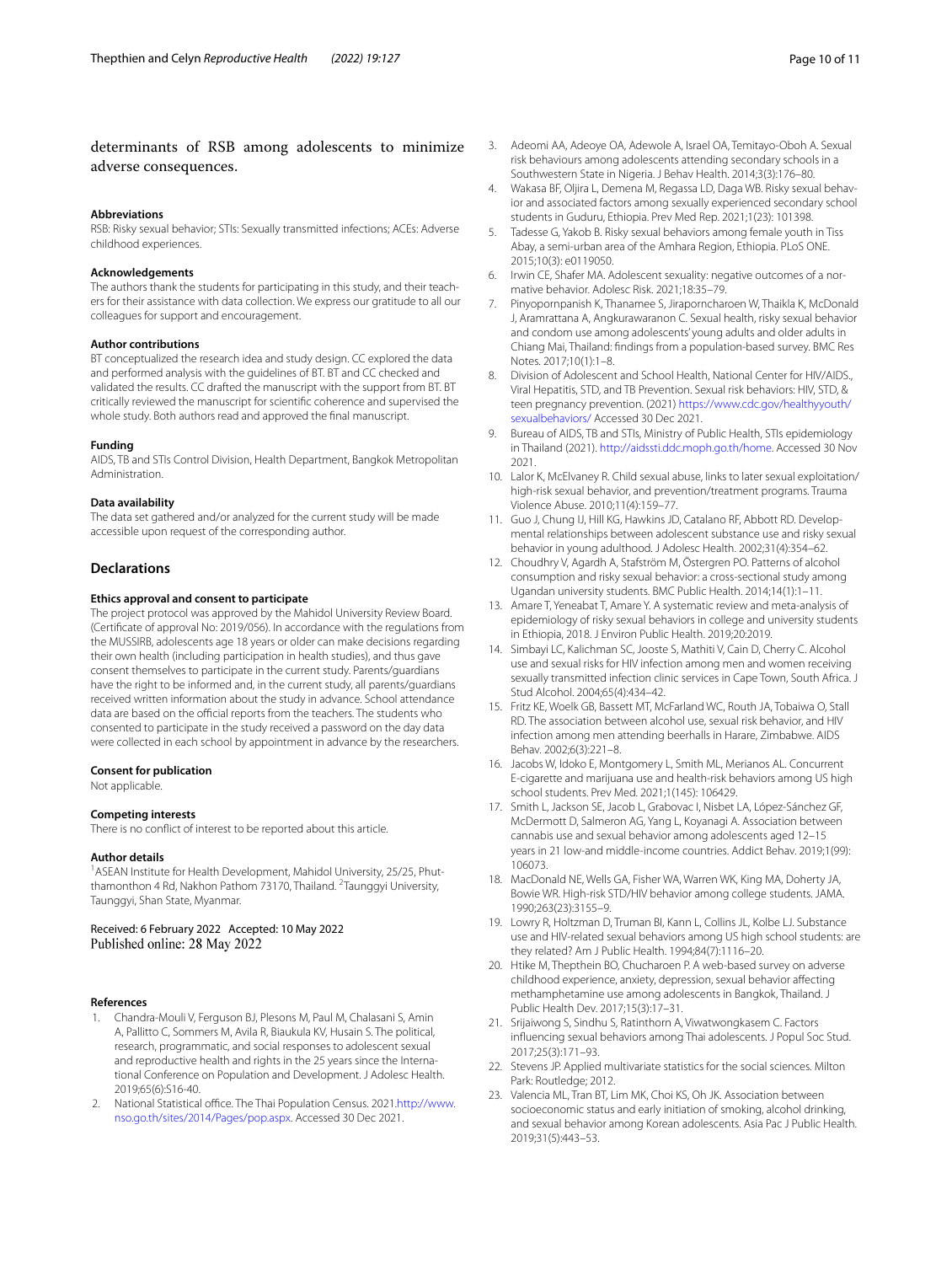# determinants of RSB among adolescents to minimize adverse consequences.

#### **Abbreviations**

RSB: Risky sexual behavior; STIs: Sexually transmitted infections; ACEs: Adverse childhood experiences.

#### **Acknowledgements**

The authors thank the students for participating in this study, and their teachers for their assistance with data collection. We express our gratitude to all our colleagues for support and encouragement.

#### **Author contributions**

BT conceptualized the research idea and study design. CC explored the data and performed analysis with the guidelines of BT. BT and CC checked and validated the results. CC drafted the manuscript with the support from BT. BT critically reviewed the manuscript for scientifc coherence and supervised the whole study. Both authors read and approved the fnal manuscript.

#### **Funding**

AIDS, TB and STIs Control Division, Health Department, Bangkok Metropolitan Administration.

### **Data availability**

The data set gathered and/or analyzed for the current study will be made accessible upon request of the corresponding author.

## **Declarations**

## **Ethics approval and consent to participate**

The project protocol was approved by the Mahidol University Review Board. (Certifcate of approval No: 2019/056). In accordance with the regulations from the MUSSIRB, adolescents age 18 years or older can make decisions regarding their own health (including participation in health studies), and thus gave consent themselves to participate in the current study. Parents/guardians have the right to be informed and, in the current study, all parents/guardians received written information about the study in advance. School attendance data are based on the official reports from the teachers. The students who consented to participate in the study received a password on the day data were collected in each school by appointment in advance by the researchers.

#### **Consent for publication**

Not applicable.

# **Competing interests**

There is no confict of interest to be reported about this article.

#### **Author details**

<sup>1</sup> ASEAN Institute for Health Development, Mahidol University, 25/25, Phutthamonthon 4 Rd, Nakhon Pathom 73170, Thailand. <sup>2</sup> Taunggyi University, Taunggyi, Shan State, Myanmar.

Received: 6 February 2022 Accepted: 10 May 2022 Published online: 28 May 2022

#### **References**

- <span id="page-9-0"></span>1. Chandra-Mouli V, Ferguson BJ, Plesons M, Paul M, Chalasani S, Amin A, Pallitto C, Sommers M, Avila R, Biaukula KV, Husain S. The political, research, programmatic, and social responses to adolescent sexual and reproductive health and rights in the 25 years since the International Conference on Population and Development. J Adolesc Health. 2019;65(6):S16-40.
- <span id="page-9-1"></span>2. National Statistical office. The Thai Population Census. 2021[.http://www.](http://www.nso.go.th/sites/2014/Pages/pop.aspx) [nso.go.th/sites/2014/Pages/pop.aspx.](http://www.nso.go.th/sites/2014/Pages/pop.aspx) Accessed 30 Dec 2021.
- <span id="page-9-2"></span>3. Adeomi AA, Adeoye OA, Adewole A, Israel OA, Temitayo-Oboh A. Sexual risk behaviours among adolescents attending secondary schools in a Southwestern State in Nigeria. J Behav Health. 2014;3(3):176–80.
- <span id="page-9-3"></span>4. Wakasa BF, Oljira L, Demena M, Regassa LD, Daga WB. Risky sexual behavior and associated factors among sexually experienced secondary school students in Guduru, Ethiopia. Prev Med Rep. 2021;1(23): 101398.
- <span id="page-9-4"></span>5. Tadesse G, Yakob B. Risky sexual behaviors among female youth in Tiss Abay, a semi-urban area of the Amhara Region, Ethiopia. PLoS ONE. 2015;10(3): e0119050.
- <span id="page-9-5"></span>6. Irwin CE, Shafer MA. Adolescent sexuality: negative outcomes of a nor‑ mative behavior. Adolesc Risk. 2021;18:35–79.
- <span id="page-9-6"></span>7. Pinyopornpanish K, Thanamee S, Jiraporncharoen W, Thaikla K, McDonald J, Aramrattana A, Angkurawaranon C. Sexual health, risky sexual behavior and condom use among adolescents' young adults and older adults in Chiang Mai, Thailand: fndings from a population-based survey. BMC Res Notes. 2017;10(1):1–8.
- <span id="page-9-7"></span>8. Division of Adolescent and School Health, National Center for HIV/AIDS., Viral Hepatitis, STD, and TB Prevention. Sexual risk behaviors: HIV, STD, & teen pregnancy prevention. (2021) [https://www.cdc.gov/healthyyouth/](https://www.cdc.gov/healthyyouth/sexualbehaviors/) [sexualbehaviors/](https://www.cdc.gov/healthyyouth/sexualbehaviors/) Accessed 30 Dec 2021.
- <span id="page-9-8"></span>9. Bureau of AIDS, TB and STIs, Ministry of Public Health, STIs epidemiology in Thailand (2021). [http://aidssti.ddc.moph.go.th/home.](http://aidssti.ddc.moph.go.th/home) Accessed 30 Nov 2021.
- <span id="page-9-9"></span>10. Lalor K, McElvaney R. Child sexual abuse, links to later sexual exploitation/ high-risk sexual behavior, and prevention/treatment programs. Trauma Violence Abuse. 2010;11(4):159–77.
- <span id="page-9-10"></span>11. Guo J, Chung IJ, Hill KG, Hawkins JD, Catalano RF, Abbott RD. Developmental relationships between adolescent substance use and risky sexual behavior in young adulthood. J Adolesc Health. 2002;31(4):354–62.
- <span id="page-9-11"></span>12. Choudhry V, Agardh A, Stafström M, Östergren PO. Patterns of alcohol consumption and risky sexual behavior: a cross-sectional study among Ugandan university students. BMC Public Health. 2014;14(1):1–11.
- <span id="page-9-21"></span>13. Amare T, Yeneabat T, Amare Y. A systematic review and meta-analysis of epidemiology of risky sexual behaviors in college and university students in Ethiopia, 2018. J Environ Public Health. 2019;20:2019.
- 14. Simbayi LC, Kalichman SC, Jooste S, Mathiti V, Cain D, Cherry C. Alcohol use and sexual risks for HIV infection among men and women receiving sexually transmitted infection clinic services in Cape Town, South Africa. J Stud Alcohol. 2004;65(4):434–42.
- <span id="page-9-12"></span>15. Fritz KE, Woelk GB, Bassett MT, McFarland WC, Routh JA, Tobaiwa O, Stall RD. The association between alcohol use, sexual risk behavior, and HIV infection among men attending beerhalls in Harare, Zimbabwe. AIDS Behav. 2002;6(3):221–8.
- <span id="page-9-13"></span>16. Jacobs W, Idoko E, Montgomery L, Smith ML, Merianos AL. Concurrent E-cigarette and marijuana use and health-risk behaviors among US high school students. Prev Med. 2021;1(145): 106429.
- <span id="page-9-14"></span>17. Smith L, Jackson SE, Jacob L, Grabovac I, Nisbet LA, López-Sánchez GF, McDermott D, Salmeron AG, Yang L, Koyanagi A. Association between cannabis use and sexual behavior among adolescents aged 12–15 years in 21 low-and middle-income countries. Addict Behav. 2019;1(99): 106073.
- <span id="page-9-15"></span>18. MacDonald NE, Wells GA, Fisher WA, Warren WK, King MA, Doherty JA, Bowie WR. High-risk STD/HIV behavior among college students. JAMA. 1990;263(23):3155–9.
- <span id="page-9-16"></span>19. Lowry R, Holtzman D, Truman BI, Kann L, Collins JL, Kolbe LJ. Substance use and HIV-related sexual behaviors among US high school students: are they related? Am J Public Health. 1994;84(7):1116–20.
- <span id="page-9-17"></span>20. Htike M, Thepthein BO, Chucharoen P. A web-based survey on adverse childhood experience, anxiety, depression, sexual behavior afecting methamphetamine use among adolescents in Bangkok, Thailand. J Public Health Dev. 2017;15(3):17–31.
- <span id="page-9-18"></span>21. Srijaiwong S, Sindhu S, Ratinthorn A, Viwatwongkasem C. Factors infuencing sexual behaviors among Thai adolescents. J Popul Soc Stud. 2017;25(3):171–93.
- <span id="page-9-19"></span>22. Stevens JP. Applied multivariate statistics for the social sciences. Milton Park: Routledge; 2012.
- <span id="page-9-20"></span>23. Valencia ML, Tran BT, Lim MK, Choi KS, Oh JK. Association between socioeconomic status and early initiation of smoking, alcohol drinking, and sexual behavior among Korean adolescents. Asia Pac J Public Health. 2019;31(5):443–53.